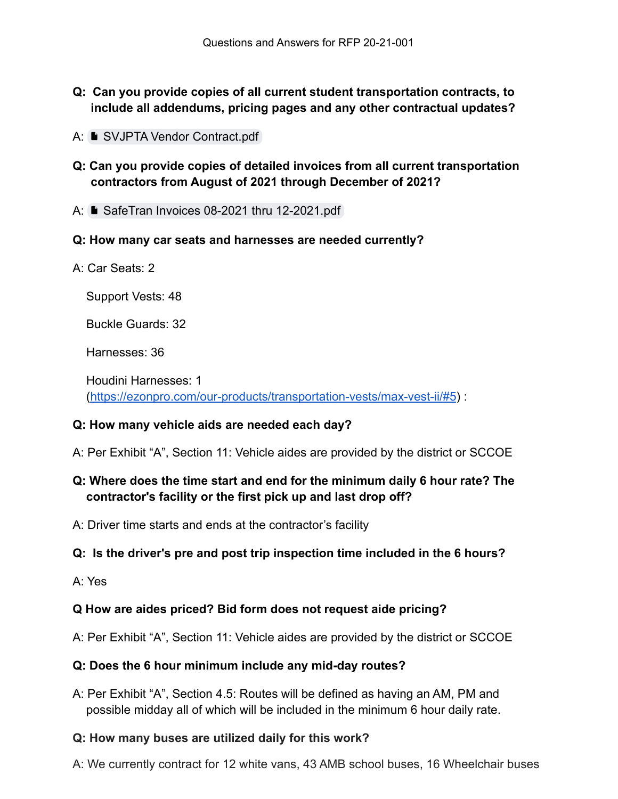- **Q: Can you provide copies of all current student transportation contracts, to include all addendums, pricing pages and any other contractual updates?**
- A: [SVJPTA Vendor Contract.pdf](https://drive.google.com/file/d/1r9rn5y0nLtP6Hft0jLo_MTygD4GqPMud/view?usp=sharing)
- **Q: Can you provide copies of detailed invoices from all current transportation contractors from August of 2021 through December of 2021?**
- A: [SafeTran Invoices 08-2021 thru 12-2021.pdf](https://drive.google.com/file/d/1pV8dt1ioQ2It3BHfPJKk18g5pPMH_8Bw/view?usp=sharing)
- **Q: How many car seats and harnesses are needed currently?**
- A: Car Seats: 2

Support Vests: 48

Buckle Guards: 32

Harnesses: 36

Houdini Harnesses: 1 [\(https://ezonpro.com/our-products/transportation-vests/max-vest-ii/#5](https://ezonpro.com/our-products/transportation-vests/max-vest-ii/#5)) :

### **Q: How many vehicle aids are needed each day?**

A: Per Exhibit "A", Section 11: Vehicle aides are provided by the district or SCCOE

# **Q: Where does the time start and end for the minimum daily 6 hour rate? The contractor's facility or the first pick up and last drop off?**

A: Driver time starts and ends at the contractor's facility

### **Q: Is the driver's pre and post trip inspection time included in the 6 hours?**

A: Yes

### **Q How are aides priced? Bid form does not request aide pricing?**

A: Per Exhibit "A", Section 11: Vehicle aides are provided by the district or SCCOE

### **Q: Does the 6 hour minimum include any mid-day routes?**

A: Per Exhibit "A", Section 4.5: Routes will be defined as having an AM, PM and possible midday all of which will be included in the minimum 6 hour daily rate.

### **Q: How many buses are utilized daily for this work?**

A: We currently contract for 12 white vans, 43 AMB school buses, 16 Wheelchair buses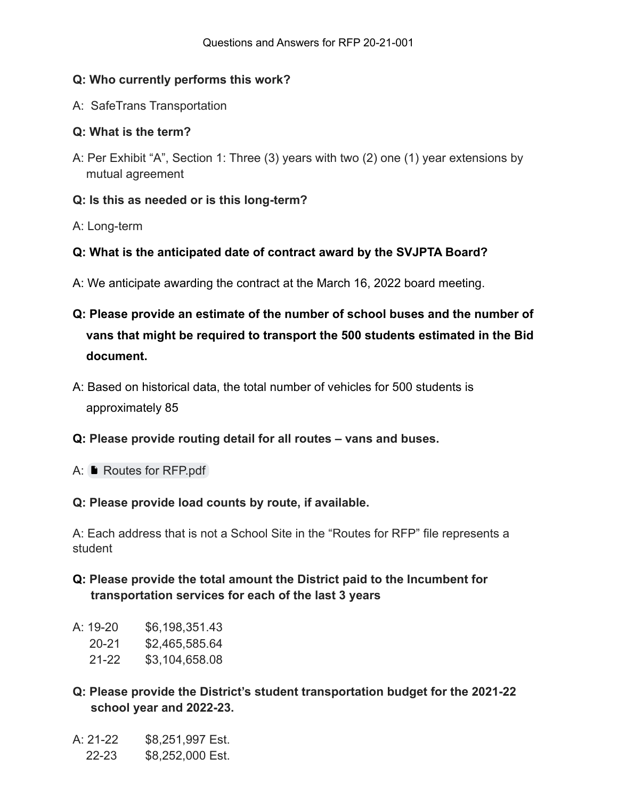### **Q: Who currently performs this work?**

A: SafeTrans Transportation

### **Q: What is the term?**

A: Per Exhibit "A", Section 1: Three (3) years with two (2) one (1) year extensions by mutual agreement

### **Q: Is this as needed or is this long-term?**

A: Long-term

### **Q: What is the anticipated date of contract award by the SVJPTA Board?**

- A: We anticipate awarding the contract at the March 16, 2022 board meeting.
- **Q: Please provide an estimate of the number of school buses and the number of vans that might be required to transport the 500 students estimated in the Bid document.**
- A: Based on historical data, the total number of vehicles for 500 students is approximately 85
- **Q: Please provide routing detail for all routes – vans and buses.**
- A: **P** [Routes for RFP.pdf](https://drive.google.com/file/d/1WaRWdiXfPOIV_YWYlJdEzh_WUpr9Bton/view?usp=sharing)

### **Q: Please provide load counts by route, if available.**

A: Each address that is not a School Site in the "Routes for RFP" file represents a student

- **Q: Please provide the total amount the District paid to the Incumbent for transportation services for each of the last 3 years**
- A: 19-20 \$6,198,351.43
	- 20-21 \$2,465,585.64
	- 21-22 \$3,104,658.08
- **Q: Please provide the District's student transportation budget for the 2021-22 school year and 2022-23.**
- A: 21-22 \$8,251,997 Est.
- 22-23 \$8,252,000 Est.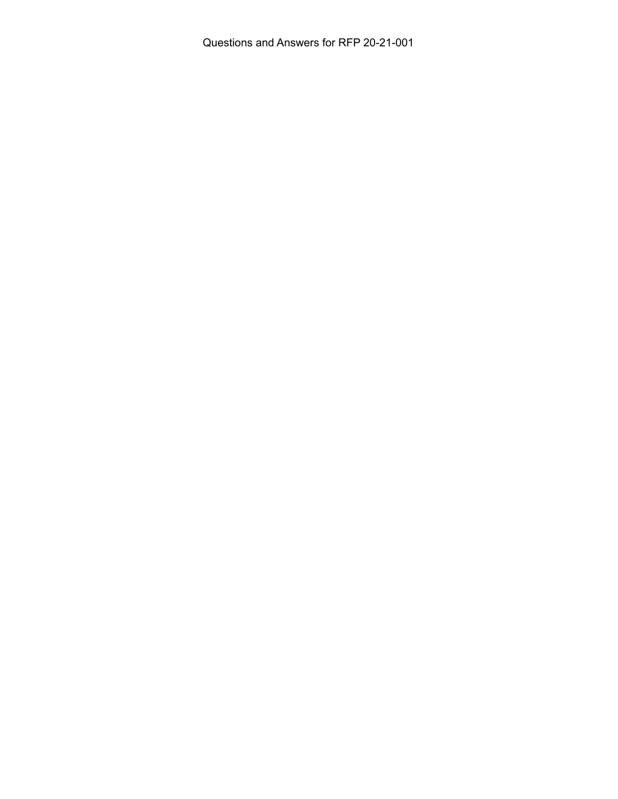Questions and Answers for RFP 20-21-001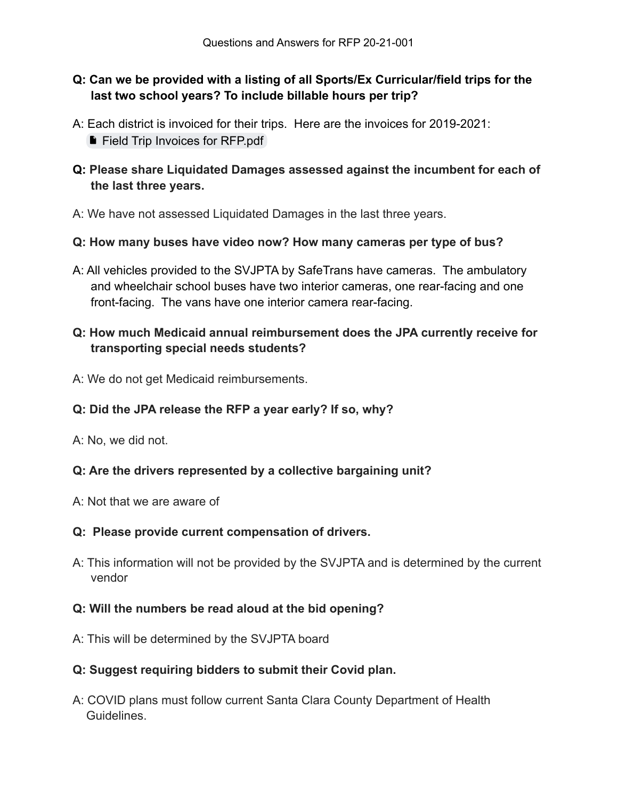# **Q: Can we be provided with a listing of all Sports/Ex Curricular/field trips for the last two school years? To include billable hours per trip?**

- A: Each district is invoiced for their trips. Here are the invoices for 2019-2021: **[Field Trip Invoices for RFP.pdf](https://drive.google.com/file/d/1_1KC-x1zwwVozOhwio8Xn8OsVGSz3q_p/view?usp=sharing)**
- **Q: Please share Liquidated Damages assessed against the incumbent for each of the last three years.**
- A: We have not assessed Liquidated Damages in the last three years.

### **Q: How many buses have video now? How many cameras per type of bus?**

A: All vehicles provided to the SVJPTA by SafeTrans have cameras. The ambulatory and wheelchair school buses have two interior cameras, one rear-facing and one front-facing. The vans have one interior camera rear-facing.

### **Q: How much Medicaid annual reimbursement does the JPA currently receive for transporting special needs students?**

A: We do not get Medicaid reimbursements.

### **Q: Did the JPA release the RFP a year early? If so, why?**

A: No, we did not.

### **Q: Are the drivers represented by a collective bargaining unit?**

A: Not that we are aware of

### **Q: Please provide current compensation of drivers.**

A: This information will not be provided by the SVJPTA and is determined by the current vendor

### **Q: Will the numbers be read aloud at the bid opening?**

A: This will be determined by the SVJPTA board

### **Q: Suggest requiring bidders to submit their Covid plan.**

A: COVID plans must follow current Santa Clara County Department of Health Guidelines.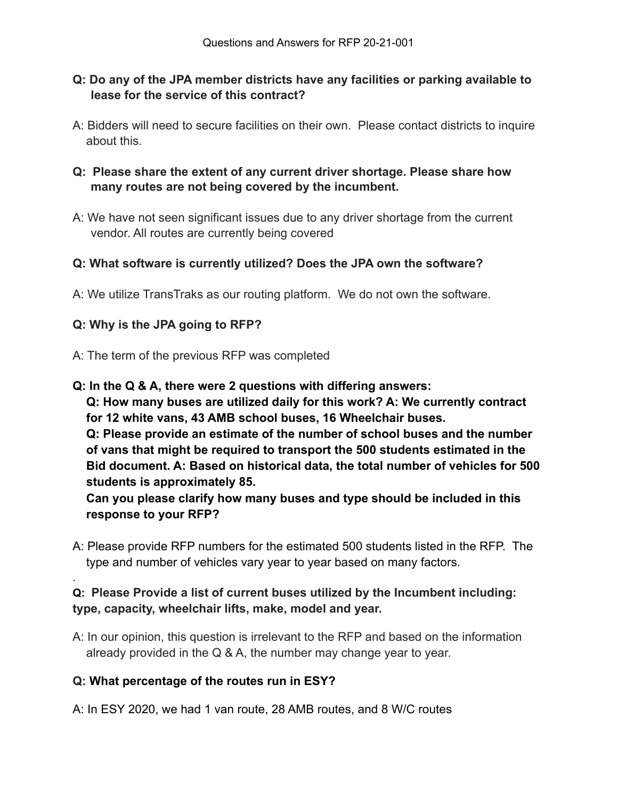### **Q: Do any of the JPA member districts have any facilities or parking available to lease for the service of this contract?**

A: Bidders will need to secure facilities on their own. Please contact districts to inquire about this.

# **Q: Please share the extent of any current driver shortage. Please share how many routes are not being covered by the incumbent.**

A: We have not seen significant issues due to any driver shortage from the current vendor. All routes are currently being covered

### **Q: What software is currently utilized? Does the JPA own the software?**

A: We utilize TransTraks as our routing platform. We do not own the software.

### **Q: Why is the JPA going to RFP?**

.

- A: The term of the previous RFP was completed
- **Q: In the Q & A, there were 2 questions with differing answers:**

**Q: How many buses are utilized daily for this work? A: We currently contract for 12 white vans, 43 AMB school buses, 16 Wheelchair buses.**

**Q: Please provide an estimate of the number of school buses and the number of vans that might be required to transport the 500 students estimated in the Bid document. A: Based on historical data, the total number of vehicles for 500 students is approximately 85.**

**Can you please clarify how many buses and type should be included in this response to your RFP?**

A: Please provide RFP numbers for the estimated 500 students listed in the RFP. The type and number of vehicles vary year to year based on many factors.

# **Q: Please Provide a list of current buses utilized by the Incumbent including: type, capacity, wheelchair lifts, make, model and year.**

A: In our opinion, this question is irrelevant to the RFP and based on the information already provided in the Q & A, the number may change year to year.

### **Q: What percentage of the routes run in ESY?**

A: In ESY 2020, we had 1 van route, 28 AMB routes, and 8 W/C routes